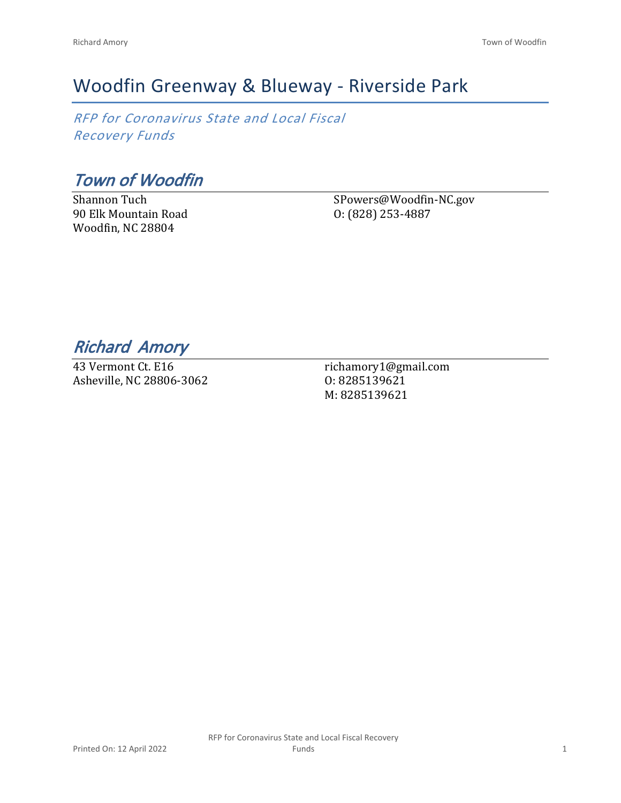## Woodfin Greenway & Blueway - Riverside Park

*RFP for Coronavirus State and Local Fiscal Recovery Funds*

*Town of Woodfin*

Shannon Tuch 90 Elk Mountain Road Woodfin, NC 28804

SPowers@Woodfin-NC.gov O: (828) 253-4887

*Richard Amory* 

43 Vermont Ct. E16 Asheville, NC 28806-3062

richamory1@gmail.com O: 8285139621 M: 8285139621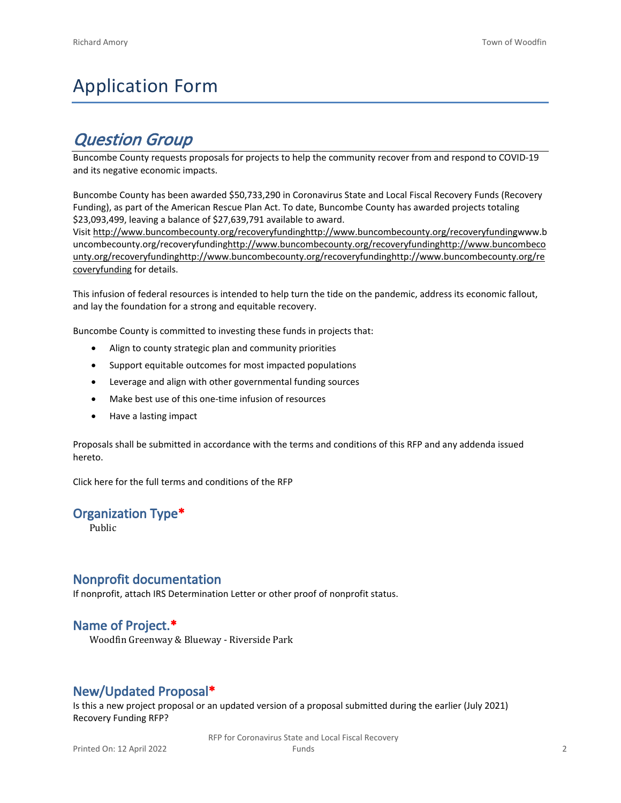# Application Form

## *Question Group*

Buncombe County requests proposals for projects to help the community recover from and respond to COVID-19 and its negative economic impacts.

Buncombe County has been awarded \$50,733,290 in Coronavirus State and Local Fiscal Recovery Funds (Recovery Funding), as part of the American Rescue Plan Act. To date, Buncombe County has awarded projects totaling \$23,093,499, leaving a balance of \$27,639,791 available to award.

Visit [http://www.buncombecounty.org/recoveryfundinghttp://www.buncombecounty.org/recoveryfundingwww.b](http://www.buncombecounty.org/recoveryfunding) [uncombecounty.org/recoveryfundinghttp://www.buncombecounty.org/recoveryfundinghttp://www.buncombeco](http://www.buncombecounty.org/recoveryfunding) [unty.org/recoveryfundinghttp://www.buncombecounty.org/recoveryfundinghttp://www.buncombecounty.org/re](http://www.buncombecounty.org/recoveryfunding) [coveryfunding](http://www.buncombecounty.org/recoveryfunding) for details.

This infusion of federal resources is intended to help turn the tide on the pandemic, address its economic fallout, and lay the foundation for a strong and equitable recovery.

Buncombe County is committed to investing these funds in projects that:

- Align to county strategic plan and community priorities
- Support equitable outcomes for most impacted populations
- Leverage and align with other governmental funding sources
- Make best use of this one-time infusion of resources
- Have a lasting impact

Proposals shall be submitted in accordance with the terms and conditions of this RFP and any addenda issued hereto.

Click [here](https://www.buncombecounty.org/common/purchasing/Buncombe%20Recovery%20Funding%20RFP%202022.pdf) for the full terms and conditions of the RFP

#### **Organization Type\***

Public

#### **Nonprofit documentation**

If nonprofit, attach IRS Determination Letter or other proof of nonprofit status.

#### **Name of Project.\***

Woodfin Greenway & Blueway - Riverside Park

#### **New/Updated Proposal\***

Is this a new project proposal or an updated version of a proposal submitted during the earlier (July 2021) Recovery Funding RFP?

> RFP for Coronavirus State and Local Fiscal Recovery Funds 2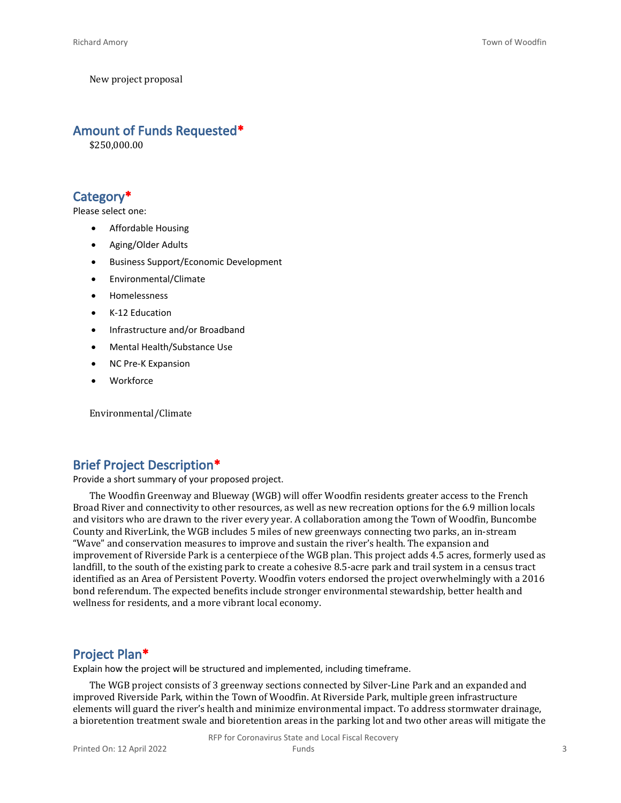New project proposal

#### **Amount of Funds Requested\***

\$250,000.00

#### **Category\***

Please select one:

- Affordable Housing
- Aging/Older Adults
- Business Support/Economic Development
- Environmental/Climate
- Homelessness
- K-12 Education
- Infrastructure and/or Broadband
- Mental Health/Substance Use
- NC Pre-K Expansion
- **Workforce**

Environmental/Climate

#### **Brief Project Description\***

Provide a short summary of your proposed project.

The Woodfin Greenway and Blueway (WGB) will offer Woodfin residents greater access to the French Broad River and connectivity to other resources, as well as new recreation options for the 6.9 million locals and visitors who are drawn to the river every year. A collaboration among the Town of Woodfin, Buncombe County and RiverLink, the WGB includes 5 miles of new greenways connecting two parks, an in-stream "Wave" and conservation measures to improve and sustain the river's health. The expansion and improvement of Riverside Park is a centerpiece of the WGB plan. This project adds 4.5 acres, formerly used as landfill, to the south of the existing park to create a cohesive 8.5-acre park and trail system in a census tract identified as an Area of Persistent Poverty. Woodfin voters endorsed the project overwhelmingly with a 2016 bond referendum. The expected benefits include stronger environmental stewardship, better health and wellness for residents, and a more vibrant local economy.

#### **Project Plan\***

Explain how the project will be structured and implemented, including timeframe.

The WGB project consists of 3 greenway sections connected by Silver-Line Park and an expanded and improved Riverside Park, within the Town of Woodfin. At Riverside Park, multiple green infrastructure elements will guard the river's health and minimize environmental impact. To address stormwater drainage, a bioretention treatment swale and bioretention areas in the parking lot and two other areas will mitigate the

RFP for Coronavirus State and Local Fiscal Recovery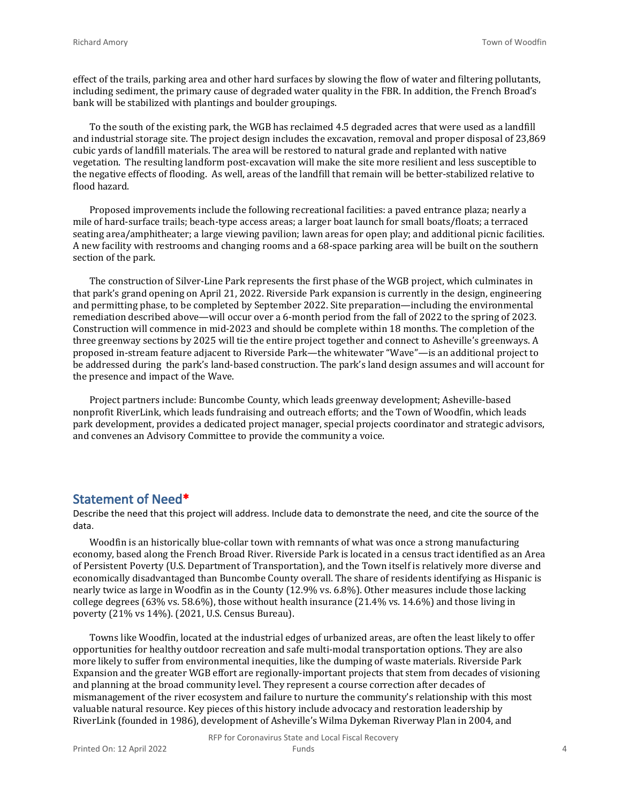effect of the trails, parking area and other hard surfaces by slowing the flow of water and filtering pollutants, including sediment, the primary cause of degraded water quality in the FBR. In addition, the French Broad's bank will be stabilized with plantings and boulder groupings.

To the south of the existing park, the WGB has reclaimed 4.5 degraded acres that were used as a landfill and industrial storage site. The project design includes the excavation, removal and proper disposal of 23,869 cubic yards of landfill materials. The area will be restored to natural grade and replanted with native vegetation. The resulting landform post-excavation will make the site more resilient and less susceptible to the negative effects of flooding. As well, areas of the landfill that remain will be better-stabilized relative to flood hazard.

Proposed improvements include the following recreational facilities: a paved entrance plaza; nearly a mile of hard-surface trails; beach-type access areas; a larger boat launch for small boats/floats; a terraced seating area/amphitheater; a large viewing pavilion; lawn areas for open play; and additional picnic facilities. A new facility with restrooms and changing rooms and a 68-space parking area will be built on the southern section of the park.

The construction of Silver-Line Park represents the first phase of the WGB project, which culminates in that park's grand opening on April 21, 2022. Riverside Park expansion is currently in the design, engineering and permitting phase, to be completed by September 2022. Site preparation—including the environmental remediation described above—will occur over a 6-month period from the fall of 2022 to the spring of 2023. Construction will commence in mid-2023 and should be complete within 18 months. The completion of the three greenway sections by 2025 will tie the entire project together and connect to Asheville's greenways. A proposed in-stream feature adjacent to Riverside Park—the whitewater "Wave"—is an additional project to be addressed during the park's land-based construction. The park's land design assumes and will account for the presence and impact of the Wave.

Project partners include: Buncombe County, which leads greenway development; Asheville-based nonprofit RiverLink, which leads fundraising and outreach efforts; and the Town of Woodfin, which leads park development, provides a dedicated project manager, special projects coordinator and strategic advisors, and convenes an Advisory Committee to provide the community a voice.

#### **Statement of Need\***

Describe the need that this project will address. Include data to demonstrate the need, and cite the source of the data.

Woodfin is an historically blue-collar town with remnants of what was once a strong manufacturing economy, based along the French Broad River. Riverside Park is located in a census tract identified as an Area of Persistent Poverty (U.S. Department of Transportation), and the Town itself is relatively more diverse and economically disadvantaged than Buncombe County overall. The share of residents identifying as Hispanic is nearly twice as large in Woodfin as in the County (12.9% vs. 6.8%). Other measures include those lacking college degrees (63% vs. 58.6%), those without health insurance (21.4% vs. 14.6%) and those living in poverty (21% vs 14%). (2021, U.S. Census Bureau).

Towns like Woodfin, located at the industrial edges of urbanized areas, are often the least likely to offer opportunities for healthy outdoor recreation and safe multi-modal transportation options. They are also more likely to suffer from environmental inequities, like the dumping of waste materials. Riverside Park Expansion and the greater WGB effort are regionally-important projects that stem from decades of visioning and planning at the broad community level. They represent a course correction after decades of mismanagement of the river ecosystem and failure to nurture the community's relationship with this most valuable natural resource. Key pieces of this history include advocacy and restoration leadership by RiverLink (founded in 1986), development of Asheville's Wilma Dykeman Riverway Plan in 2004, and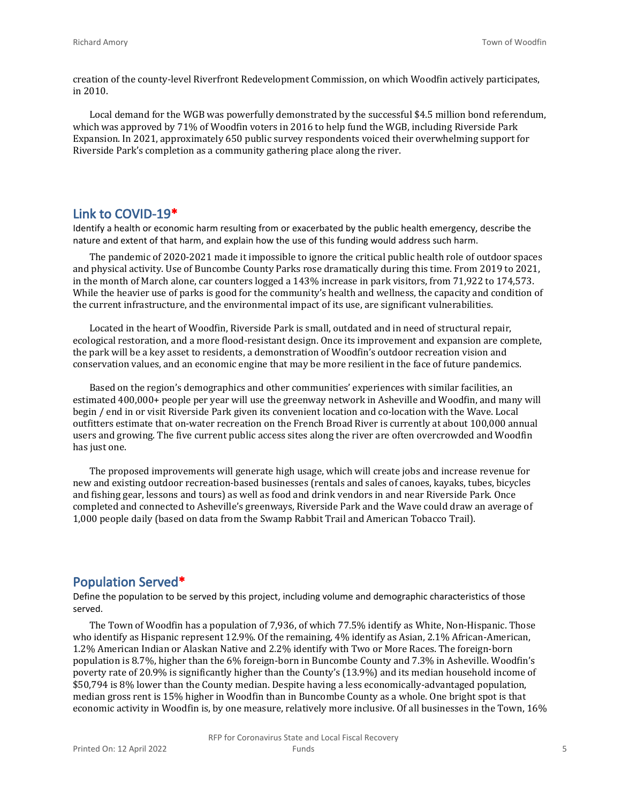creation of the county-level Riverfront Redevelopment Commission, on which Woodfin actively participates, in 2010.

Local demand for the WGB was powerfully demonstrated by the successful \$4.5 million bond referendum, which was approved by 71% of Woodfin voters in 2016 to help fund the WGB, including Riverside Park Expansion. In 2021, approximately 650 public survey respondents voiced their overwhelming support for Riverside Park's completion as a community gathering place along the river.

#### **Link to COVID-19\***

Identify a health or economic harm resulting from or exacerbated by the public health emergency, describe the nature and extent of that harm, and explain how the use of this funding would address such harm.

The pandemic of 2020-2021 made it impossible to ignore the critical public health role of outdoor spaces and physical activity. Use of Buncombe County Parks rose dramatically during this time. From 2019 to 2021, in the month of March alone, car counters logged a 143% increase in park visitors, from 71,922 to 174,573. While the heavier use of parks is good for the community's health and wellness, the capacity and condition of the current infrastructure, and the environmental impact of its use, are significant vulnerabilities.

Located in the heart of Woodfin, Riverside Park is small, outdated and in need of structural repair, ecological restoration, and a more flood-resistant design. Once its improvement and expansion are complete, the park will be a key asset to residents, a demonstration of Woodfin's outdoor recreation vision and conservation values, and an economic engine that may be more resilient in the face of future pandemics.

Based on the region's demographics and other communities' experiences with similar facilities, an estimated 400,000+ people per year will use the greenway network in Asheville and Woodfin, and many will begin / end in or visit Riverside Park given its convenient location and co-location with the Wave. Local outfitters estimate that on-water recreation on the French Broad River is currently at about 100,000 annual users and growing. The five current public access sites along the river are often overcrowded and Woodfin has just one.

The proposed improvements will generate high usage, which will create jobs and increase revenue for new and existing outdoor recreation-based businesses (rentals and sales of canoes, kayaks, tubes, bicycles and fishing gear, lessons and tours) as well as food and drink vendors in and near Riverside Park. Once completed and connected to Asheville's greenways, Riverside Park and the Wave could draw an average of 1,000 people daily (based on data from the Swamp Rabbit Trail and American Tobacco Trail).

#### **Population Served\***

Define the population to be served by this project, including volume and demographic characteristics of those served.

The Town of Woodfin has a population of 7,936, of which 77.5% identify as White, Non-Hispanic. Those who identify as Hispanic represent 12.9%. Of the remaining, 4% identify as Asian, 2.1% African-American, 1.2% American Indian or Alaskan Native and 2.2% identify with Two or More Races. The foreign-born population is 8.7%, higher than the 6% foreign-born in Buncombe County and 7.3% in Asheville. Woodfin's poverty rate of 20.9% is significantly higher than the County's (13.9%) and its median household income of \$50,794 is 8% lower than the County median. Despite having a less economically-advantaged population, median gross rent is 15% higher in Woodfin than in Buncombe County as a whole. One bright spot is that economic activity in Woodfin is, by one measure, relatively more inclusive. Of all businesses in the Town, 16%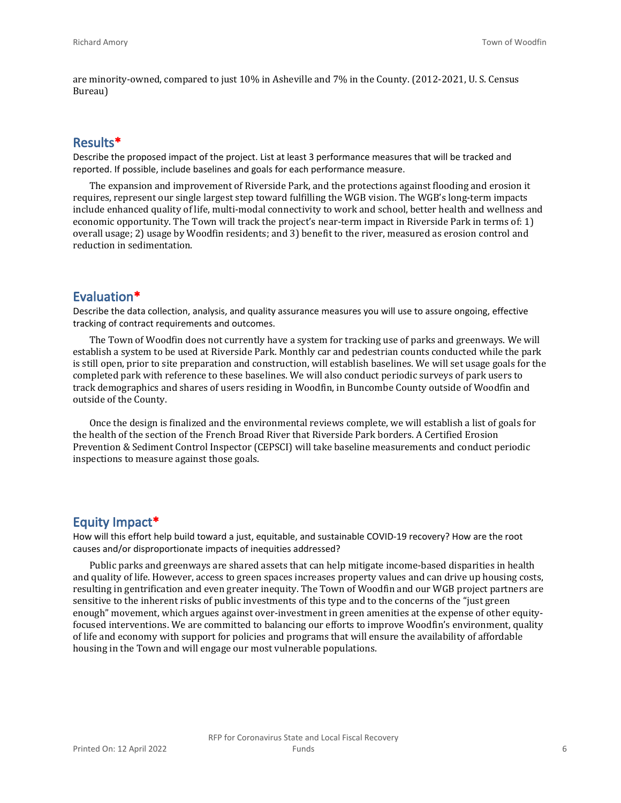are minority-owned, compared to just 10% in Asheville and 7% in the County. (2012-2021, U. S. Census Bureau)

#### **Results\***

Describe the proposed impact of the project. List at least 3 performance measures that will be tracked and reported. If possible, include baselines and goals for each performance measure.

The expansion and improvement of Riverside Park, and the protections against flooding and erosion it requires, represent our single largest step toward fulfilling the WGB vision. The WGB's long-term impacts include enhanced quality of life, multi-modal connectivity to work and school, better health and wellness and economic opportunity. The Town will track the project's near-term impact in Riverside Park in terms of: 1) overall usage; 2) usage by Woodfin residents; and 3) benefit to the river, measured as erosion control and reduction in sedimentation.

#### **Evaluation\***

Describe the data collection, analysis, and quality assurance measures you will use to assure ongoing, effective tracking of contract requirements and outcomes.

The Town of Woodfin does not currently have a system for tracking use of parks and greenways. We will establish a system to be used at Riverside Park. Monthly car and pedestrian counts conducted while the park is still open, prior to site preparation and construction, will establish baselines. We will set usage goals for the completed park with reference to these baselines. We will also conduct periodic surveys of park users to track demographics and shares of users residing in Woodfin, in Buncombe County outside of Woodfin and outside of the County.

Once the design is finalized and the environmental reviews complete, we will establish a list of goals for the health of the section of the French Broad River that Riverside Park borders. A Certified Erosion Prevention & Sediment Control Inspector (CEPSCI) will take baseline measurements and conduct periodic inspections to measure against those goals.

#### **Equity Impact\***

How will this effort help build toward a just, equitable, and sustainable COVID-19 recovery? How are the root causes and/or disproportionate impacts of inequities addressed?

Public parks and greenways are shared assets that can help mitigate income-based disparities in health and quality of life. However, access to green spaces increases property values and can drive up housing costs, resulting in gentrification and even greater inequity. The Town of Woodfin and our WGB project partners are sensitive to the inherent risks of public investments of this type and to the concerns of the "just green enough" movement, which argues against over-investment in green amenities at the expense of other equityfocused interventions. We are committed to balancing our efforts to improve Woodfin's environment, quality of life and economy with support for policies and programs that will ensure the availability of affordable housing in the Town and will engage our most vulnerable populations.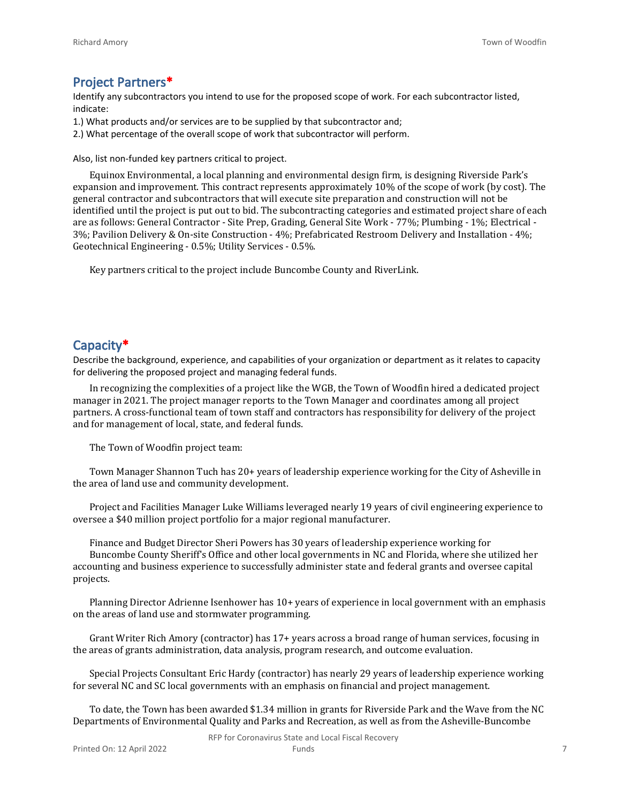#### **Project Partners\***

Identify any subcontractors you intend to use for the proposed scope of work. For each subcontractor listed, indicate:

- 1.) What products and/or services are to be supplied by that subcontractor and;
- 2.) What percentage of the overall scope of work that subcontractor will perform.

Also, list non-funded key partners critical to project.

Equinox Environmental, a local planning and environmental design firm, is designing Riverside Park's expansion and improvement. This contract represents approximately 10% of the scope of work (by cost). The general contractor and subcontractors that will execute site preparation and construction will not be identified until the project is put out to bid. The subcontracting categories and estimated project share of each are as follows: General Contractor - Site Prep, Grading, General Site Work - 77%; Plumbing - 1%; Electrical - 3%; Pavilion Delivery & On-site Construction - 4%; Prefabricated Restroom Delivery and Installation - 4%; Geotechnical Engineering - 0.5%; Utility Services - 0.5%.

Key partners critical to the project include Buncombe County and RiverLink.

#### **Capacity\***

Describe the background, experience, and capabilities of your organization or department as it relates to capacity for delivering the proposed project and managing federal funds.

In recognizing the complexities of a project like the WGB, the Town of Woodfin hired a dedicated project manager in 2021. The project manager reports to the Town Manager and coordinates among all project partners. A cross-functional team of town staff and contractors has responsibility for delivery of the project and for management of local, state, and federal funds.

The Town of Woodfin project team:

Town Manager Shannon Tuch has 20+ years of leadership experience working for the City of Asheville in the area of land use and community development.

Project and Facilities Manager Luke Williams leveraged nearly 19 years of civil engineering experience to oversee a \$40 million project portfolio for a major regional manufacturer.

Finance and Budget Director Sheri Powers has 30 years of leadership experience working for Buncombe County Sheriff's Office and other local governments in NC and Florida, where she utilized her accounting and business experience to successfully administer state and federal grants and oversee capital projects.

Planning Director Adrienne Isenhower has 10+ years of experience in local government with an emphasis on the areas of land use and stormwater programming.

Grant Writer Rich Amory (contractor) has 17+ years across a broad range of human services, focusing in the areas of grants administration, data analysis, program research, and outcome evaluation.

Special Projects Consultant Eric Hardy (contractor) has nearly 29 years of leadership experience working for several NC and SC local governments with an emphasis on financial and project management.

To date, the Town has been awarded \$1.34 million in grants for Riverside Park and the Wave from the NC Departments of Environmental Quality and Parks and Recreation, as well as from the Asheville-Buncombe

RFP for Coronavirus State and Local Fiscal Recovery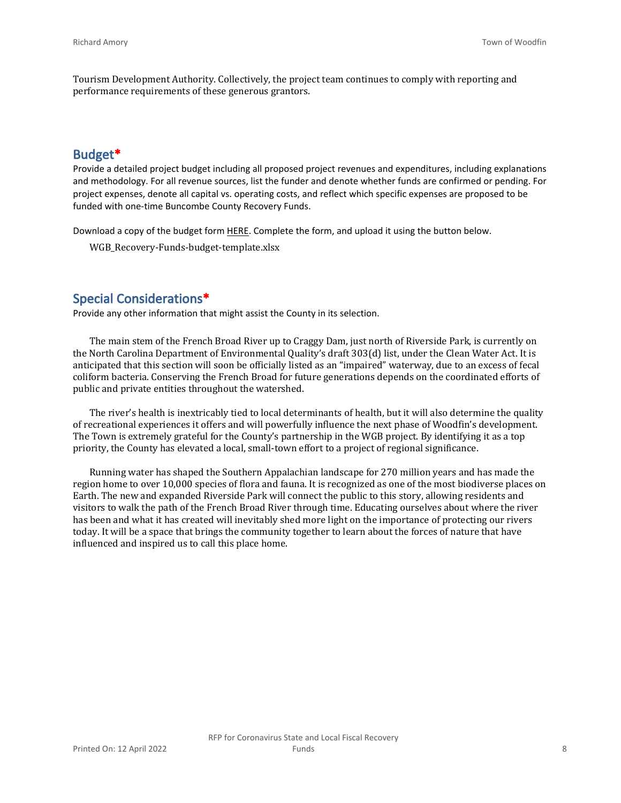Tourism Development Authority. Collectively, the project team continues to comply with reporting and performance requirements of these generous grantors.

#### **Budget\***

Provide a detailed project budget including all proposed project revenues and expenditures, including explanations and methodology. For all revenue sources, list the funder and denote whether funds are confirmed or pending. For project expenses, denote all capital vs. operating costs, and reflect which specific expenses are proposed to be funded with one-time Buncombe County Recovery Funds.

Download a copy of the budget form [HERE](https://buncombecounty.org/common/community-investment/grants/early-childhood-education/Recovery-Funds-budget-template.xlsx). Complete the form, and upload it using the button below.

WGB\_Recovery-Funds-budget-template.xlsx

#### **Special Considerations\***

Provide any other information that might assist the County in its selection.

The main stem of the French Broad River up to Craggy Dam, just north of Riverside Park, is currently on the North Carolina Department of Environmental Quality's draft 303(d) list, under the Clean Water Act. It is anticipated that this section will soon be officially listed as an "impaired" waterway, due to an excess of fecal coliform bacteria. Conserving the French Broad for future generations depends on the coordinated efforts of public and private entities throughout the watershed.

The river's health is inextricably tied to local determinants of health, but it will also determine the quality of recreational experiences it offers and will powerfully influence the next phase of Woodfin's development. The Town is extremely grateful for the County's partnership in the WGB project. By identifying it as a top priority, the County has elevated a local, small-town effort to a project of regional significance.

Running water has shaped the Southern Appalachian landscape for 270 million years and has made the region home to over 10,000 species of flora and fauna. It is recognized as one of the most biodiverse places on Earth. The new and expanded Riverside Park will connect the public to this story, allowing residents and visitors to walk the path of the French Broad River through time. Educating ourselves about where the river has been and what it has created will inevitably shed more light on the importance of protecting our rivers today. It will be a space that brings the community together to learn about the forces of nature that have influenced and inspired us to call this place home.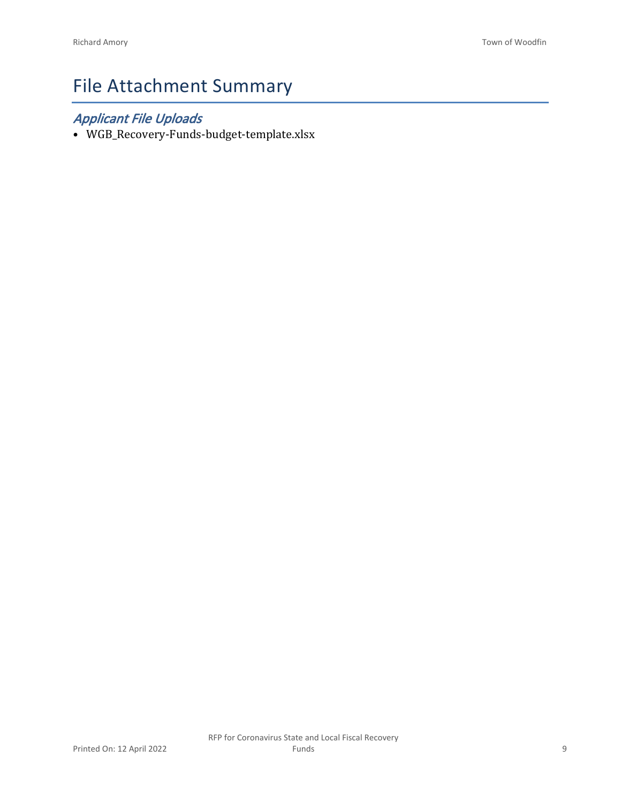# File Attachment Summary

### *Applicant File Uploads*

• WGB\_Recovery-Funds-budget-template.xlsx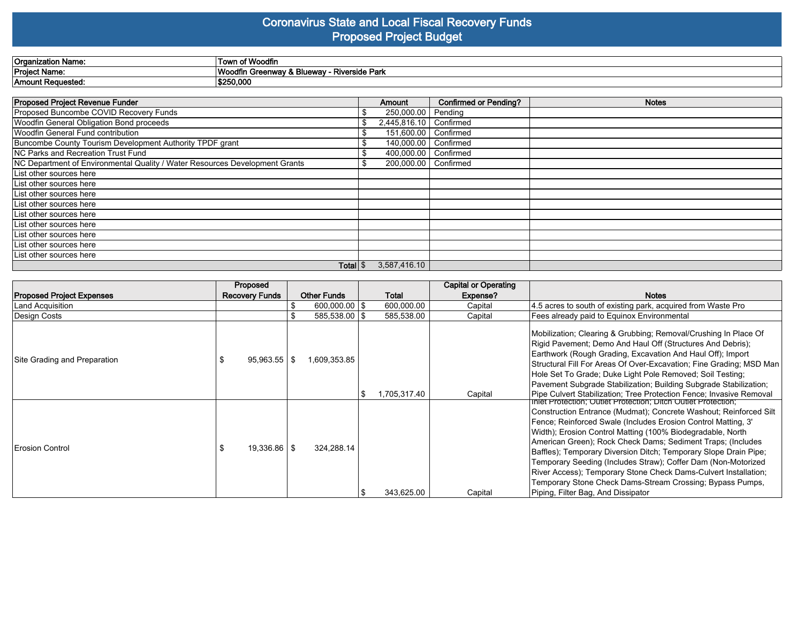#### **Coronavirus State and Local Fiscal Recovery Funds Proposed Project Budget**

| Organiza<br>Name. ו  | า of Woodfin<br>, Town                                             |
|----------------------|--------------------------------------------------------------------|
| <b>Project Name:</b> | ۱۸ <i>۱.</i><br>. Bluewav<br>Riverside Park<br>arov i<br>.<br>шwез |
| 'Amount Reauestea.   | \$250,000                                                          |

| <b>Proposed Project Revenue Funder</b>                                      |    | Amount                   | <b>Confirmed or Pending?</b> | <b>Notes</b> |
|-----------------------------------------------------------------------------|----|--------------------------|------------------------------|--------------|
| Proposed Buncombe COVID Recovery Funds                                      |    | 250,000.00   Pending     |                              |              |
| Woodfin General Obligation Bond proceeds                                    |    | 2,445,816.10   Confirmed |                              |              |
| Woodfin General Fund contribution                                           |    | 151,600,00   Confirmed   |                              |              |
| Buncombe County Tourism Development Authority TPDF grant                    |    | 140,000.00   Confirmed   |                              |              |
| NC Parks and Recreation Trust Fund                                          | \$ | 400,000.00   Confirmed   |                              |              |
| NC Department of Environmental Quality / Water Resources Development Grants | S  | 200,000.00   Confirmed   |                              |              |
| List other sources here                                                     |    |                          |                              |              |
| List other sources here                                                     |    |                          |                              |              |
| List other sources here                                                     |    |                          |                              |              |
| List other sources here                                                     |    |                          |                              |              |
| List other sources here                                                     |    |                          |                              |              |
| List other sources here                                                     |    |                          |                              |              |
| List other sources here                                                     |    |                          |                              |              |
| List other sources here                                                     |    |                          |                              |              |
| List other sources here                                                     |    |                          |                              |              |
| Total \$                                                                    |    | 3.587.416.10             |                              |              |

|                                  | Proposed              |                    |              | <b>Capital or Operating</b> |                                                                                                                                                                                                                                                                                                                                                                                                                                                                                                                                                                                                                                             |
|----------------------------------|-----------------------|--------------------|--------------|-----------------------------|---------------------------------------------------------------------------------------------------------------------------------------------------------------------------------------------------------------------------------------------------------------------------------------------------------------------------------------------------------------------------------------------------------------------------------------------------------------------------------------------------------------------------------------------------------------------------------------------------------------------------------------------|
| <b>Proposed Project Expenses</b> | <b>Recovery Funds</b> | <b>Other Funds</b> | Total        | Expense?                    | <b>Notes</b>                                                                                                                                                                                                                                                                                                                                                                                                                                                                                                                                                                                                                                |
| Land Acquisition                 |                       | $600,000.00$   \$  | 600,000.00   | Capital                     | 4.5 acres to south of existing park, acquired from Waste Pro                                                                                                                                                                                                                                                                                                                                                                                                                                                                                                                                                                                |
| Design Costs                     |                       | 585,538.00   \$    | 585,538.00   | Capital                     | Fees already paid to Equinox Environmental                                                                                                                                                                                                                                                                                                                                                                                                                                                                                                                                                                                                  |
| Site Grading and Preparation     | $95,963.55$   \$      | 1,609,353.85       | 1,705,317.40 | Capital                     | Mobilization; Clearing & Grubbing; Removal/Crushing In Place Of<br>Rigid Pavement; Demo And Haul Off (Structures And Debris);<br>Earthwork (Rough Grading, Excavation And Haul Off); Import<br>Structural Fill For Areas Of Over-Excavation; Fine Grading; MSD Man<br>Hole Set To Grade; Duke Light Pole Removed; Soil Testing;<br>Pavement Subgrade Stabilization; Building Subgrade Stabilization;<br>Pipe Culvert Stabilization; Tree Protection Fence; Invasive Removal                                                                                                                                                                 |
| Erosion Control                  | $19,336.86$   \$      | 324,288.14         | 343,625.00   | Capital                     | Iniet Protection; Outlet Protection; Ditch Outlet Protection;<br>Construction Entrance (Mudmat); Concrete Washout; Reinforced Silt<br>Fence; Reinforced Swale (Includes Erosion Control Matting, 3'<br>Width); Erosion Control Matting (100% Biodegradable, North<br>American Green); Rock Check Dams; Sediment Traps; (Includes<br>Baffles); Temporary Diversion Ditch; Temporary Slope Drain Pipe;<br>Temporary Seeding (Includes Straw); Coffer Dam (Non-Motorized<br>River Access); Temporary Stone Check Dams-Culvert Installation;<br>Temporary Stone Check Dams-Stream Crossing; Bypass Pumps,<br>Piping, Filter Bag, And Dissipator |